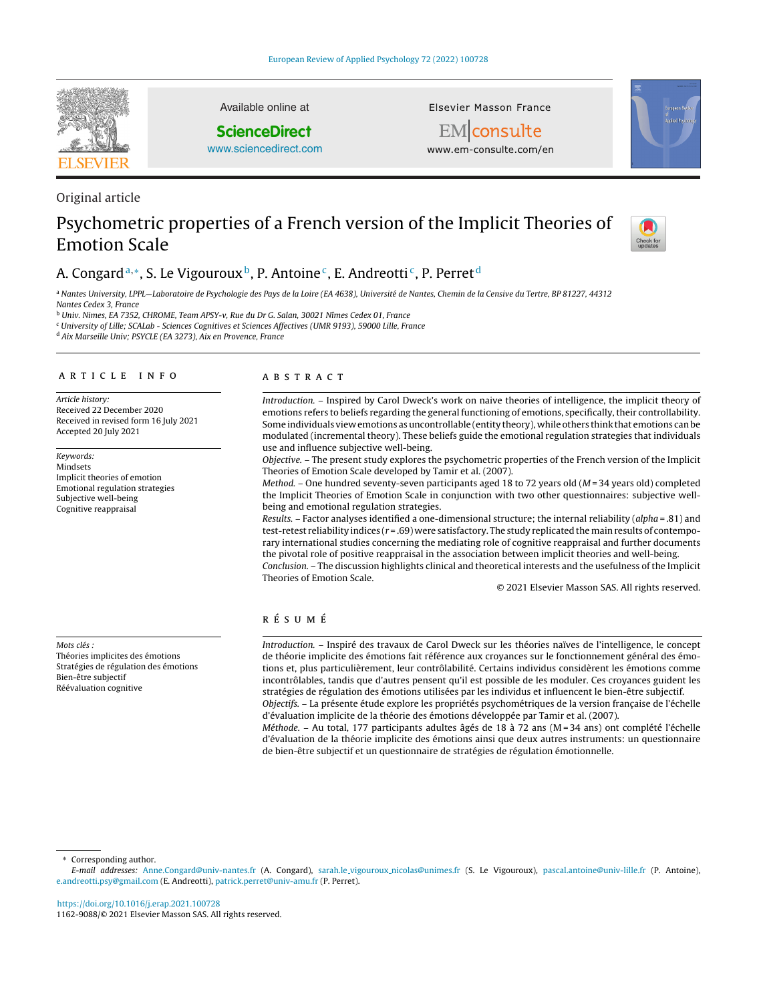

Available online at

## **ScienceDirect**

[www.sciencedirect.com](http://www.sciencedirect.com/science/journal/11629088)

**Elsevier Masson France** 



EM consulte www.em-consulte.com/en

# Original article

## Psychometric properties of a French version of the Implicit Theories of Emotion Scale



## A. Congard<sup>a,∗</sup>, S. Le Vigouroux<sup>b</sup>, P. Antoine<sup>c</sup>, E. Andreotti<sup>c</sup>, P. Perret<sup>d</sup>

<sup>a</sup> Nantes University, LPPL—Laboratoire de Psychologie des Pays de la Loire (EA 4638), Université de Nantes, Chemin de la Censive du Tertre, BP 81227, 44312 Nantes Cedex 3, France

<sup>b</sup> Univ. Nimes, EA 7352, CHROME, Team APSY-v, Rue du Dr G. Salan, 30021 Nîmes Cedex 01, France

<sup>c</sup> University of Lille; SCALab - Sciences Cognitives et Sciences Affectives (UMR 9193), 59000 Lille, France

<sup>d</sup> Aix Marseille Univ; PSYCLE (EA 3273), Aix en Provence, France

## a r t i c l e i n f o

Article history: Received 22 December 2020 Received in revised form 16 July 2021 Accepted 20 July 2021

Keywords: Mindsets Implicit theories of emotion Emotional regulation strategies Subjective well-being Cognitive reappraisal

Mots clés :

Théories implicites des émotions Stratégies de régulation des émotions Bien-être subjectif Réévaluation cognitive

## A B S T R A C T

Introduction. – Inspired by Carol Dweck's work on naive theories of intelligence, the implicit theory of emotions refers to beliefs regarding the general functioning of emotions, specifically,their controllability. Some individuals view emotions asuncontrollable (entity theory), while others think that emotions canbe modulated (incremental theory). These beliefs guide the emotional regulation strategies that individuals use and influence subjective well-being.

Objective. – The present study explores the psychometric properties of the French version of the Implicit Theories of Emotion Scale developed by Tamir et al. (2007).

Method. – One hundred seventy-seven participants aged 18 to 72 years old ( $M = 34$  years old) completed the Implicit Theories of Emotion Scale in conjunction with two other questionnaires: subjective wellbeing and emotional regulation strategies.

Results. – Factor analyses identified a one-dimensional structure; the internal reliability (alpha = .81) and test-retest reliability indices ( $r = .69$ ) were satisfactory. The study replicated the main results of contemporary international studies concerning the mediating role of cognitive reappraisal and further documents the pivotal role of positive reappraisal in the association between implicit theories and well-being. Conclusion. – The discussion highlights clinical and theoretical interests and the usefulness of the Implicit

© 2021 Elsevier Masson SAS. All rights reserved.

## r é s u m é

Theories of Emotion Scale.

Introduction. – Inspiré des travaux de Carol Dweck sur les théories naïves de l'intelligence, le concept de théorie implicite des émotions fait référence aux croyances sur le fonctionnement général des émotions et, plus particulièrement, leur contrôlabilité. Certains individus considèrent les émotions comme incontrôlables, tandis que d'autres pensent qu'il est possible de les moduler. Ces croyances guident les stratégies de régulation des émotions utilisées par les individus et influencent le bien-être subjectif. Objectifs. – La présente étude explore les propriétés psychométriques de la version française de l'échelle d'évaluation implicite de la théorie des émotions développée par Tamir et al. (2007).

Méthode. – Au total, 177 participants adultes âgés de 18 à 72 ans (M=34 ans) ont complété l'échelle d'évaluation de la théorie implicite des émotions ainsi que deux autres instruments: un questionnaire de bien-être subjectif et un questionnaire de stratégies de régulation émotionnelle.

∗ Corresponding author.

E-mail addresses: [Anne.Congard@univ-nantes.fr](mailto:Anne.Congard@univ-nantes.fr) (A. Congard), sarah.le vigouroux [nicolas@unimes.f](mailto:sarah.le_vigouroux_nicolas@unimes.fr)r (S. Le Vigouroux), [pascal.antoine@univ-lille.fr](mailto:pascal.antoine@univ-lille.fr) (P. Antoine), [e.andreotti.psy@gmail.com](mailto:e.andreotti.psy@gmail.com) (E. Andreotti), [patrick.perret@univ-amu.fr](mailto:patrick.perret@univ-amu.fr) (P. Perret).

<https://doi.org/10.1016/j.erap.2021.100728> 1162-9088/© 2021 Elsevier Masson SAS. All rights reserved.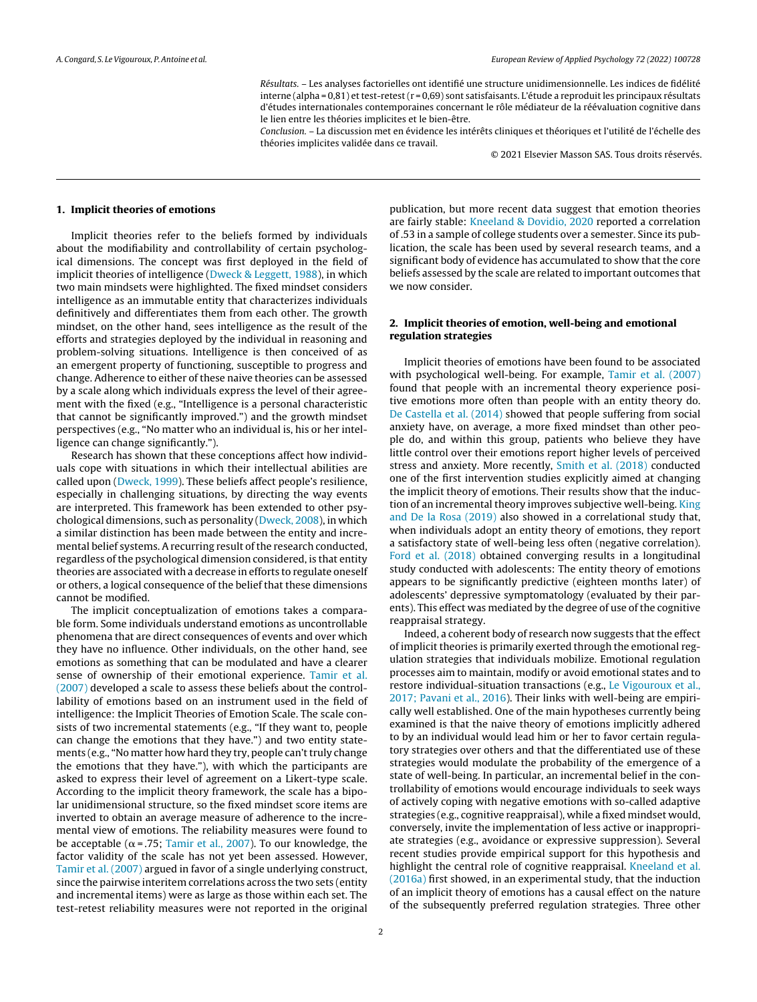Résultats. – Les analyses factorielles ont identifié une structure unidimensionnelle. Les indices de fidélité interne (alpha =  $0.81$ ) et test-retest (r =  $0.69$ ) sont satisfaisants. L'étude a reproduit les principaux résultats d'études internationales contemporaines concernant le rôle médiateur de la réévaluation cognitive dans le lien entre les théories implicites et le bien-être.

Conclusion. – La discussion met en évidence les intérêts cliniques et théoriques et l'utilité de l'échelle des théories implicites validée dans ce travail.

© 2021 Elsevier Masson SAS. Tous droits réservés.

#### **1. Implicit theories of emotions**

Implicit theories refer to the beliefs formed by individuals about the modifiability and controllability of certain psychological dimensions. The concept was first deployed in the field of implicit theories of intelligence [\(Dweck](#page-7-0) [&](#page-7-0) [Leggett,](#page-7-0) [1988\),](#page-7-0) in which two main mindsets were highlighted. The fixed mindset considers intelligence as an immutable entity that characterizes individuals definitively and differentiates them from each other. The growth mindset, on the other hand, sees intelligence as the result of the efforts and strategies deployed by the individual in reasoning and problem-solving situations. Intelligence is then conceived of as an emergent property of functioning, susceptible to progress and change. Adherence to either of these naive theories can be assessed by a scale along which individuals express the level of their agreement with the fixed (e.g., "Intelligence is a personal characteristic that cannot be significantly improved.") and the growth mindset perspectives (e.g., "No matter who an individual is, his or her intelligence can change significantly.").

Research has shown that these conceptions affect how individuals cope with situations in which their intellectual abilities are called upon [\(Dweck,](#page-6-0) [1999\).](#page-6-0) These beliefs affect people's resilience, especially in challenging situations, by directing the way events are interpreted. This framework has been extended to other psychological dimensions, such as personality ([Dweck,](#page-6-0) [2008\),](#page-6-0) in which a similar distinction has been made between the entity and incremental belief systems. A recurring result of the research conducted, regardless of the psychological dimension considered, is that entity theories are associated with a decrease in efforts to regulate oneself or others, a logical consequence of the belief that these dimensions cannot be modified.

The implicit conceptualization of emotions takes a comparable form. Some individuals understand emotions as uncontrollable phenomena that are direct consequences of events and over which they have no influence. Other individuals, on the other hand, see emotions as something that can be modulated and have a clearer sense of ownership of their emotional experience. [Tamir](#page-7-0) et [al.](#page-7-0) [\(2007\)](#page-7-0) developed a scale to assess these beliefs about the controllability of emotions based on an instrument used in the field of intelligence: the Implicit Theories of Emotion Scale. The scale consists of two incremental statements (e.g., "If they want to, people can change the emotions that they have.") and two entity statements (e.g., "No matter how hard they try, people can't truly change the emotions that they have."), with which the participants are asked to express their level of agreement on a Likert-type scale. According to the implicit theory framework, the scale has a bipolar unidimensional structure, so the fixed mindset score items are inverted to obtain an average measure of adherence to the incremental view of emotions. The reliability measures were found to be acceptable ( $\alpha$  = .75; [Tamir](#page-7-0) et [al.,](#page-7-0) [2007\).](#page-7-0) To our knowledge, the factor validity of the scale has not yet been assessed. However, [Tamir](#page-7-0) et [al.](#page-7-0) [\(2007\)](#page-7-0) argued in favor of a single underlying construct, since the pairwise interitem correlations across the two sets (entity and incremental items) were as large as those within each set. The test-retest reliability measures were not reported in the original

publication, but more recent data suggest that emotion theories are fairly stable: [Kneeland](#page-7-0) [&](#page-7-0) [Dovidio,](#page-7-0) [2020](#page-7-0) reported a correlation of .53 in a sample of college students over a semester. Since its publication, the scale has been used by several research teams, and a significant body of evidence has accumulated to show that the core beliefs assessed by the scale are related to important outcomes that we now consider.

## **2. Implicit theories of emotion, well-being and emotional regulation strategies**

Implicit theories of emotions have been found to be associated with psychological well-being. For example, [Tamir](#page-7-0) et [al.](#page-7-0) [\(2007\)](#page-7-0) found that people with an incremental theory experience positive emotions more often than people with an entity theory do. [De](#page-6-0) [Castella](#page-6-0) et [al.](#page-6-0) [\(2014\)](#page-6-0) showed that people suffering from social anxiety have, on average, a more fixed mindset than other people do, and within this group, patients who believe they have little control over their emotions report higher levels of perceived stress and anxiety. More recently, [Smith](#page-7-0) et [al.](#page-7-0) [\(2018\)](#page-7-0) conducted one of the first intervention studies explicitly aimed at changing the implicit theory of emotions. Their results show that the induction of an incremental theory improves subjective well-being. [King](#page-7-0) [and](#page-7-0) [De](#page-7-0) [la](#page-7-0) [Rosa](#page-7-0) [\(2019\)](#page-7-0) also showed in a correlational study that, when individuals adopt an entity theory of emotions, they report a satisfactory state of well-being less often (negative correlation). [Ford](#page-7-0) et [al.](#page-7-0) [\(2018\)](#page-7-0) obtained converging results in a longitudinal study conducted with adolescents: The entity theory of emotions appears to be significantly predictive (eighteen months later) of adolescents' depressive symptomatology (evaluated by their parents). This effect was mediated by the degree of use of the cognitive reappraisal strategy.

Indeed, a coherent body of research now suggests that the effect of implicit theories is primarily exerted through the emotional regulation strategies that individuals mobilize. Emotional regulation processes aim to maintain, modify or avoid emotional states and to restore individual-situation transactions (e.g., [Le](#page-7-0) [Vigouroux](#page-7-0) et [al.,](#page-7-0) [2017;](#page-7-0) [Pavani](#page-7-0) et [al.,](#page-7-0) [2016\).](#page-7-0) Their links with well-being are empirically well established. One of the main hypotheses currently being examined is that the naive theory of emotions implicitly adhered to by an individual would lead him or her to favor certain regulatory strategies over others and that the differentiated use of these strategies would modulate the probability of the emergence of a state of well-being. In particular, an incremental belief in the controllability of emotions would encourage individuals to seek ways of actively coping with negative emotions with so-called adaptive strategies (e.g., cognitive reappraisal), while a fixed mindset would, conversely, invite the implementation of less active or inappropriate strategies (e.g., avoidance or expressive suppression). Several recent studies provide empirical support for this hypothesis and highlight the central role of cognitive reappraisal. [Kneeland](#page-7-0) et [al.](#page-7-0) [\(2016a\)](#page-7-0) first showed, in an experimental study, that the induction of an implicit theory of emotions has a causal effect on the nature of the subsequently preferred regulation strategies. Three other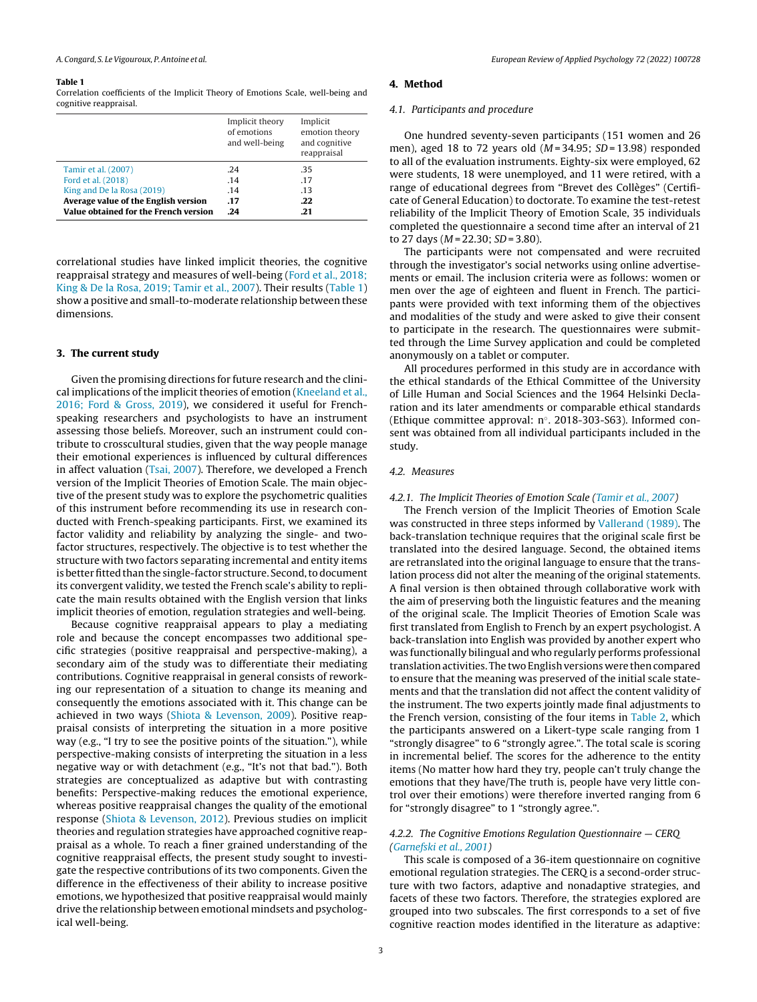Correlation coefficients of the Implicit Theory of Emotions Scale, well-being and cognitive reappraisal.

|                                       | Implicit theory<br>of emotions<br>and well-being | Implicit<br>emotion theory<br>and cognitive<br>reappraisal |
|---------------------------------------|--------------------------------------------------|------------------------------------------------------------|
| Tamir et al. (2007)                   | .24                                              | .35                                                        |
| Ford et al. (2018)                    | .14                                              | .17                                                        |
| King and De la Rosa (2019)            | .14                                              | .13                                                        |
| Average value of the English version  | .17                                              | .22                                                        |
| Value obtained for the French version | .24                                              | .21                                                        |

correlational studies have linked implicit theories, the cognitive reappraisal strategy and measures of well-being [\(Ford](#page-7-0) et [al.,](#page-7-0) [2018;](#page-7-0) [King](#page-7-0) [&](#page-7-0) [De](#page-7-0) [la](#page-7-0) [Rosa,](#page-7-0) [2019;](#page-7-0) [Tamir](#page-7-0) et [al.,](#page-7-0) [2007\).](#page-7-0) Their results (Table 1) show a positive and small-to-moderate relationship between these dimensions.

### **3. The current study**

Given the promising directions for future research and the clinical implications of the implicit theories of emotion [\(Kneeland](#page-7-0) et [al.,](#page-7-0) [2016;](#page-7-0) [Ford](#page-7-0) [&](#page-7-0) [Gross,](#page-7-0) [2019\),](#page-7-0) we considered it useful for Frenchspeaking researchers and psychologists to have an instrument assessing those beliefs. Moreover, such an instrument could contribute to crosscultural studies, given that the way people manage their emotional experiences is influenced by cultural differences in affect valuation [\(Tsai,](#page-7-0) [2007\).](#page-7-0) Therefore, we developed a French version of the Implicit Theories of Emotion Scale. The main objective of the present study was to explore the psychometric qualities of this instrument before recommending its use in research conducted with French-speaking participants. First, we examined its factor validity and reliability by analyzing the single- and twofactor structures, respectively. The objective is to test whether the structure with two factors separating incremental and entity items is better fitted than the single-factor structure. Second, to document its convergent validity, we tested the French scale's ability to replicate the main results obtained with the English version that links implicit theories of emotion, regulation strategies and well-being.

Because cognitive reappraisal appears to play a mediating role and because the concept encompasses two additional specific strategies (positive reappraisal and perspective-making), a secondary aim of the study was to differentiate their mediating contributions. Cognitive reappraisal in general consists of reworking our representation of a situation to change its meaning and consequently the emotions associated with it. This change can be achieved in two ways ([Shiota](#page-7-0) [&](#page-7-0) [Levenson,](#page-7-0) [2009\).](#page-7-0) Positive reappraisal consists of interpreting the situation in a more positive way (e.g., "I try to see the positive points of the situation."), while perspective-making consists of interpreting the situation in a less negative way or with detachment (e.g., "It's not that bad."). Both strategies are conceptualized as adaptive but with contrasting benefits: Perspective-making reduces the emotional experience, whereas positive reappraisal changes the quality of the emotional response [\(Shiota](#page-7-0) [&](#page-7-0) [Levenson,](#page-7-0) [2012\).](#page-7-0) Previous studies on implicit theories and regulation strategies have approached cognitive reappraisal as a whole. To reach a finer grained understanding of the cognitive reappraisal effects, the present study sought to investigate the respective contributions of its two components. Given the difference in the effectiveness of their ability to increase positive emotions, we hypothesized that positive reappraisal would mainly drive the relationship between emotional mindsets and psychological well-being.

## **4. Method**

#### 4.1. Participants and procedure

One hundred seventy-seven participants (151 women and 26 men), aged 18 to 72 years old  $(M = 34.95; SD = 13.98)$  responded to all of the evaluation instruments. Eighty-six were employed, 62 were students, 18 were unemployed, and 11 were retired, with a range of educational degrees from "Brevet des Collèges" (Certificate of General Education) to doctorate. To examine the test-retest reliability of the Implicit Theory of Emotion Scale, 35 individuals completed the questionnaire a second time after an interval of 21 to 27 days ( $M = 22.30$ ;  $SD = 3.80$ ).

The participants were not compensated and were recruited through the investigator's social networks using online advertisements or email. The inclusion criteria were as follows: women or men over the age of eighteen and fluent in French. The participants were provided with text informing them of the objectives and modalities of the study and were asked to give their consent to participate in the research. The questionnaires were submitted through the Lime Survey application and could be completed anonymously on a tablet or computer.

All procedures performed in this study are in accordance with the ethical standards of the Ethical Committee of the University of Lille Human and Social Sciences and the 1964 Helsinki Declaration and its later amendments or comparable ethical standards (Ethique committee approval: n◦. 2018-303-S63). Informed consent was obtained from all individual participants included in the study.

#### 4.2. Measures

#### 4.2.1. The Implicit Theories of Emotion Scale ([Tamir](#page-7-0) et [al.,](#page-7-0) [2007\)](#page-7-0)

The French version of the Implicit Theories of Emotion Scale was constructed in three steps informed by [Vallerand](#page-7-0) [\(1989\).](#page-7-0) The back-translation technique requires that the original scale first be translated into the desired language. Second, the obtained items are retranslated into the original language to ensure that the translation process did not alter the meaning of the original statements. A final version is then obtained through collaborative work with the aim of preserving both the linguistic features and the meaning of the original scale. The Implicit Theories of Emotion Scale was first translated from English to French by an expert psychologist. A back-translation into English was provided by another expert who was functionally bilingual and who regularly performs professional translation activities. The two English versions were then compared to ensure that the meaning was preserved of the initial scale statements and that the translation did not affect the content validity of the instrument. The two experts jointly made final adjustments to the French version, consisting of the four items in [Table](#page-3-0) 2, which the participants answered on a Likert-type scale ranging from 1 "strongly disagree" to 6 "strongly agree.". The total scale is scoring in incremental belief. The scores for the adherence to the entity items (No matter how hard they try, people can't truly change the emotions that they have/The truth is, people have very little control over their emotions) were therefore inverted ranging from 6 for "strongly disagree" to 1 "strongly agree.".

## 4.2.2. The Cognitive Emotions Regulation Questionnaire — CERQ ([Garnefski](#page-7-0) et [al.,](#page-7-0) [2001\)](#page-7-0)

This scale is composed of a 36-item questionnaire on cognitive emotional regulation strategies. The CERQ is a second-order structure with two factors, adaptive and nonadaptive strategies, and facets of these two factors. Therefore, the strategies explored are grouped into two subscales. The first corresponds to a set of five cognitive reaction modes identified in the literature as adaptive: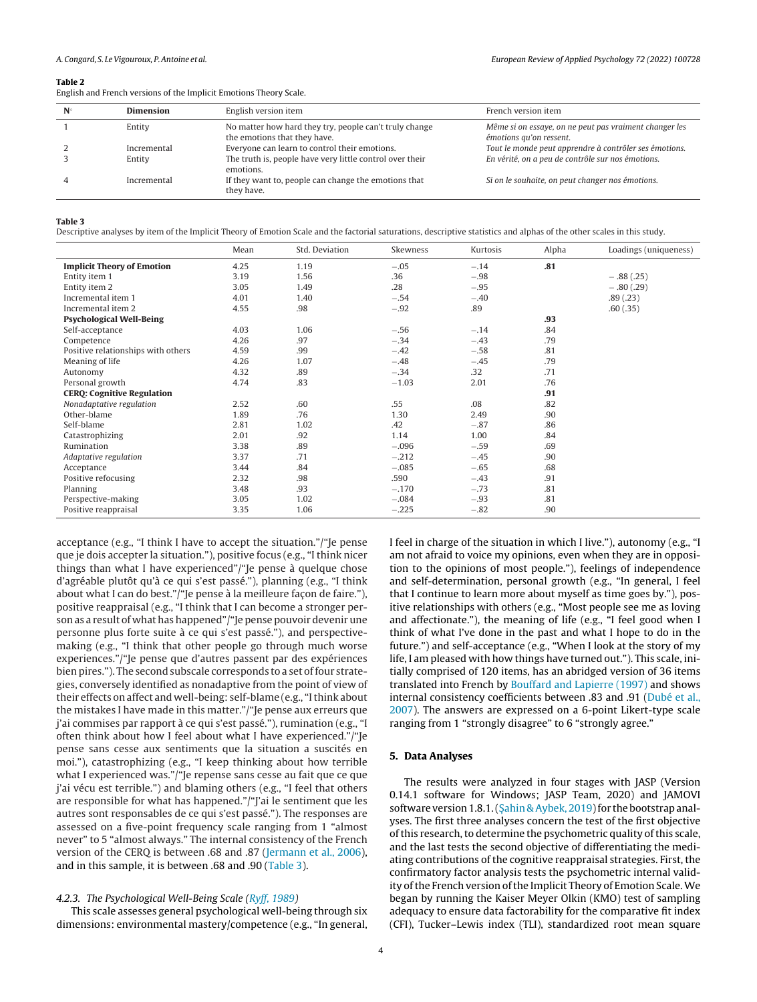<span id="page-3-0"></span>English and French versions of the Implicit Emotions Theory Scale.

| $N^{\circ}$ | <b>Dimension</b> | English version item                                                                   | French version item                                                               |
|-------------|------------------|----------------------------------------------------------------------------------------|-----------------------------------------------------------------------------------|
|             | Entity           | No matter how hard they try, people can't truly change<br>the emotions that they have. | Même si on essaye, on ne peut pas vraiment changer les<br>émotions qu'on ressent. |
|             | Incremental      | Everyone can learn to control their emotions.                                          | Tout le monde peut apprendre à contrôler ses émotions.                            |
|             | Entity           | The truth is, people have very little control over their<br>emotions.                  | En vérité, on a peu de contrôle sur nos émotions.                                 |
|             | Incremental      | If they want to, people can change the emotions that<br>they have.                     | Si on le souhaite, on peut changer nos émotions.                                  |

#### **Table 3**

Descriptive analyses by item of the Implicit Theory of Emotion Scale and the factorial saturations, descriptive statistics and alphas of the other scales in this study.

|                                    | Mean | Std. Deviation | Skewness | Kurtosis | Alpha | Loadings (uniqueness) |
|------------------------------------|------|----------------|----------|----------|-------|-----------------------|
| <b>Implicit Theory of Emotion</b>  | 4.25 | 1.19           | $-.05$   | $-.14$   | .81   |                       |
| Entity item 1                      | 3.19 | 1.56           | .36      | $-.98$   |       | $-.88(.25)$           |
| Entity item 2                      | 3.05 | 1.49           | .28      | $-.95$   |       | $-.80(.29)$           |
| Incremental item 1                 | 4.01 | 1.40           | $-.54$   | $-.40$   |       | .89(.23)              |
| Incremental item 2                 | 4.55 | .98            | $-.92$   | .89      |       | .60(.35)              |
| <b>Psychological Well-Being</b>    |      |                |          |          | .93   |                       |
| Self-acceptance                    | 4.03 | 1.06           | $-.56$   | $-.14$   | .84   |                       |
| Competence                         | 4.26 | .97            | $-.34$   | $-.43$   | .79   |                       |
| Positive relationships with others | 4.59 | .99            | $-.42$   | $-.58$   | .81   |                       |
| Meaning of life                    | 4.26 | 1.07           | $-.48$   | $-.45$   | .79   |                       |
| Autonomy                           | 4.32 | .89            | $-.34$   | .32      | .71   |                       |
| Personal growth                    | 4.74 | .83            | $-1.03$  | 2.01     | .76   |                       |
| <b>CERQ: Cognitive Regulation</b>  |      |                |          |          | .91   |                       |
| Nonadaptative regulation           | 2.52 | .60            | .55      | .08      | .82   |                       |
| Other-blame                        | 1.89 | .76            | 1.30     | 2.49     | .90   |                       |
| Self-blame                         | 2.81 | 1.02           | .42      | $-.87$   | .86   |                       |
| Catastrophizing                    | 2.01 | .92            | 1.14     | 1.00     | .84   |                       |
| Rumination                         | 3.38 | .89            | $-.096$  | $-.59$   | .69   |                       |
| Adaptative regulation              | 3.37 | .71            | $-.212$  | $-.45$   | .90   |                       |
| Acceptance                         | 3.44 | .84            | $-.085$  | $-.65$   | .68   |                       |
| Positive refocusing                | 2.32 | .98            | .590     | $-.43$   | .91   |                       |
| Planning                           | 3.48 | .93            | $-.170$  | $-.73$   | .81   |                       |
| Perspective-making                 | 3.05 | 1.02           | $-.084$  | $-.93$   | .81   |                       |
| Positive reappraisal               | 3.35 | 1.06           | $-.225$  | $-.82$   | .90   |                       |

acceptance (e.g., "I think I have to accept the situation."/"Je pense que je dois accepter la situation."), positive focus (e.g., "I think nicer things than what I have experienced"/"Je pense à quelque chose d'agréable plutôt qu'à ce qui s'est passé."), planning (e.g., "I think about what I can do best."/"Je pense à la meilleure façon de faire."), positive reappraisal (e.g., "I think that I can become a stronger person as a result of what has happened"/"Je pense pouvoir devenir une personne plus forte suite à ce qui s'est passé."), and perspectivemaking (e.g., "I think that other people go through much worse experiences."/"Je pense que d'autres passent par des expériences bien pires."). The second subscale corresponds to a set of four strategies, conversely identified as nonadaptive from the point of view of their effects on affect and well-being: self-blame (e.g., "Ithink about the mistakes I have made in this matter."/"Je pense aux erreurs que j'ai commises par rapport à ce qui s'est passé."), rumination (e.g., "I often think about how I feel about what I have experienced."/"Je pense sans cesse aux sentiments que la situation a suscités en moi."), catastrophizing (e.g., "I keep thinking about how terrible what I experienced was."/"Je repense sans cesse au fait que ce que j'ai vécu est terrible.") and blaming others (e.g., "I feel that others are responsible for what has happened."/"J'ai le sentiment que les autres sont responsables de ce qui s'est passé."). The responses are assessed on a five-point frequency scale ranging from 1 "almost never" to 5 "almost always." The internal consistency of the French version of the CERQ is between .68 and .87 ([Jermann](#page-7-0) et [al.,](#page-7-0) [2006\),](#page-7-0) and in this sample, it is between .68 and .90 (Table 3).

#### 4.2.3. The Psychological Well-Being Scale [\(Ryff,](#page-7-0) [1989\)](#page-7-0)

This scale assesses general psychological well-being through six dimensions: environmental mastery/competence (e.g., "In general, I feel in charge of the situation in which I live."), autonomy (e.g., "I am not afraid to voice my opinions, even when they are in opposition to the opinions of most people."), feelings of independence and self-determination, personal growth (e.g., "In general, I feel that I continue to learn more about myself as time goes by."), positive relationships with others (e.g., "Most people see me as loving and affectionate."), the meaning of life (e.g., "I feel good when I think of what I've done in the past and what I hope to do in the future.") and self-acceptance (e.g., "When I look at the story of my life, I am pleased with how things have turned out."). This scale, initially comprised of 120 items, has an abridged version of 36 items translated into French by [Bouffard](#page-6-0) [and](#page-6-0) [Lapierre](#page-6-0) [\(1997\)](#page-6-0) and shows internal consistency coefficients between .83 and .91 [\(Dubé](#page-6-0) et [al.,](#page-6-0) [2007\).](#page-6-0) The answers are expressed on a 6-point Likert-type scale ranging from 1 "strongly disagree" to 6 "strongly agree."

## **5. Data Analyses**

The results were analyzed in four stages with JASP (Version 0.14.1 software for Windows; JASP Team, 2020) and JAMOVI software version 1.8.1. (S[ahin](#page-7-0) [&](#page-7-0) [Aybek,](#page-7-0) 2019) for the bootstrap analyses. The first three analyses concern the test of the first objective of this research, to determine the psychometric quality of this scale, and the last tests the second objective of differentiating the mediating contributions of the cognitive reappraisal strategies. First, the confirmatory factor analysis tests the psychometric internal validity of the French version of the Implicit Theory of Emotion Scale. We began by running the Kaiser Meyer Olkin (KMO) test of sampling adequacy to ensure data factorability for the comparative fit index (CFI), Tucker–Lewis index (TLI), standardized root mean square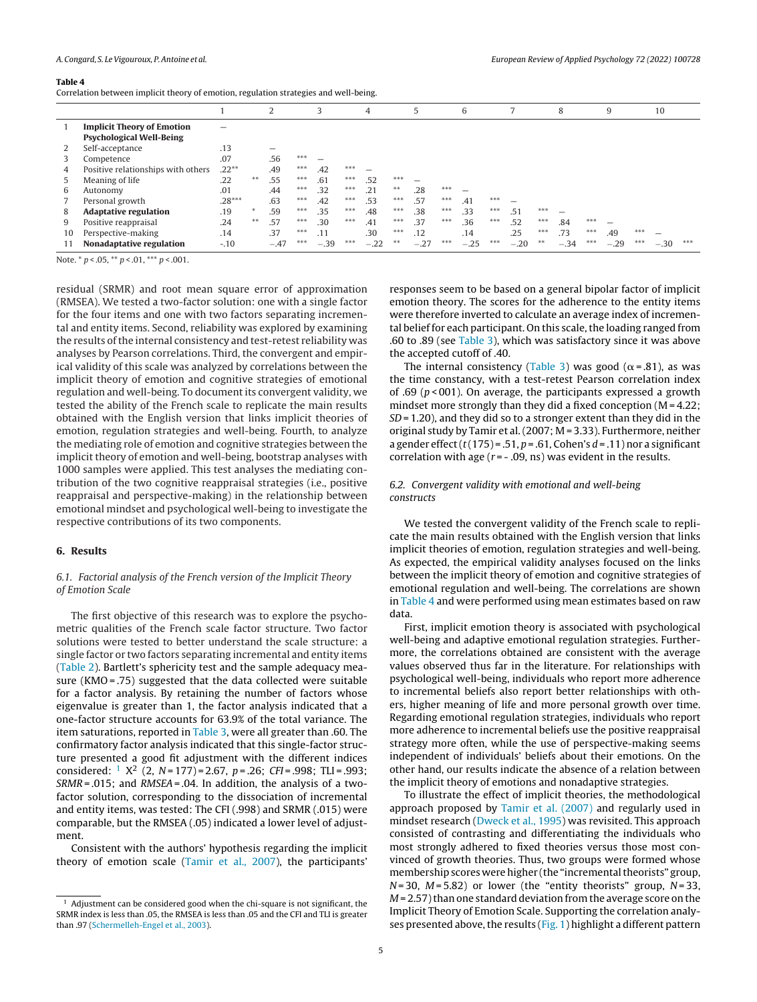<span id="page-4-0"></span>Correlation between implicit theory of emotion, regulation strategies and well-being.

|    |                                    |          |    | 2      |     | 3      |       | 4      |       | 5      |       | 6      |       |        |       | 8      |       | 9      |       | 10     |     |
|----|------------------------------------|----------|----|--------|-----|--------|-------|--------|-------|--------|-------|--------|-------|--------|-------|--------|-------|--------|-------|--------|-----|
|    | <b>Implicit Theory of Emotion</b>  |          |    |        |     |        |       |        |       |        |       |        |       |        |       |        |       |        |       |        |     |
|    | <b>Psychological Well-Being</b>    |          |    |        |     |        |       |        |       |        |       |        |       |        |       |        |       |        |       |        |     |
|    | Self-acceptance                    | .13      |    |        |     |        |       |        |       |        |       |        |       |        |       |        |       |        |       |        |     |
| 3  | Competence                         | .07      |    | .56    | *** |        |       |        |       |        |       |        |       |        |       |        |       |        |       |        |     |
| 4  | Positive relationships with others | $.22***$ |    | .49    | *** | .42    | ***   |        |       |        |       |        |       |        |       |        |       |        |       |        |     |
| 5  | Meaning of life                    | .22      | ** | .55    | *** | .61    | ***   | .52    | $***$ |        |       |        |       |        |       |        |       |        |       |        |     |
| 6  | Autonomy                           | .01      |    | .44    | *** | .32    | ***   | .21    | $***$ | .28    | ***   |        |       |        |       |        |       |        |       |        |     |
|    | Personal growth                    | $.28***$ |    | .63    | *** | .42    | ***   | .53    | ***   | .57    | $***$ | .41    | $***$ |        |       |        |       |        |       |        |     |
| 8  | <b>Adaptative regulation</b>       | .19      |    | .59    | *** | .35    | $***$ | .48    | $***$ | .38    | $***$ | .33    | $***$ | .51    | $***$ |        |       |        |       |        |     |
| 9  | Positive reappraisal               | .24      | ** | .57    | *** | .30    | ***   | .41    | $***$ | .37    | $***$ | .36    | $***$ | .52    | ***   | .84    | ***   |        |       |        |     |
| 10 | Perspective-making                 | .14      |    | .37    | *** | .11    |       | .30    | $***$ | .12    |       | .14    |       | .25    | $***$ | .73    | $***$ | .49    | $***$ |        |     |
|    | <b>Nonadaptative regulation</b>    | $-.10$   |    | $-.47$ | *** | $-.39$ | ***   | $-.22$ | $***$ | $-.27$ | $***$ | $-.25$ | $***$ | $-.20$ | $* *$ | $-.34$ | $***$ | $-.29$ | ***   | $-.30$ | *** |

Note.  $* p < .05$ ,  $** p < .01$ ,  $*** p < .001$ .

residual (SRMR) and root mean square error of approximation (RMSEA). We tested a two-factor solution: one with a single factor for the four items and one with two factors separating incremental and entity items. Second, reliability was explored by examining the results ofthe internal consistency and test-retest reliability was analyses by Pearson correlations. Third, the convergent and empirical validity of this scale was analyzed by correlations between the implicit theory of emotion and cognitive strategies of emotional regulation and well-being. To document its convergent validity, we tested the ability of the French scale to replicate the main results obtained with the English version that links implicit theories of emotion, regulation strategies and well-being. Fourth, to analyze the mediating role of emotion and cognitive strategies between the implicit theory of emotion and well-being, bootstrap analyses with 1000 samples were applied. This test analyses the mediating contribution of the two cognitive reappraisal strategies (i.e., positive reappraisal and perspective-making) in the relationship between emotional mindset and psychological well-being to investigate the respective contributions of its two components.

## **6. Results**

## 6.1. Factorial analysis of the French version of the Implicit Theory of Emotion Scale

The first objective of this research was to explore the psychometric qualities of the French scale factor structure. Two factor solutions were tested to better understand the scale structure: a single factor or two factors separating incremental and entity items [\(Table](#page-3-0) 2). Bartlett's sphericity test and the sample adequacy measure (KMO = .75) suggested that the data collected were suitable for a factor analysis. By retaining the number of factors whose eigenvalue is greater than 1, the factor analysis indicated that a one-factor structure accounts for 63.9% of the total variance. The item saturations, reported in [Table](#page-3-0) 3, were all greater than .60. The confirmatory factor analysis indicated that this single-factor structure presented a good fit adjustment with the different indices considered:  $1 \text{ X}^2$  (2, N = 177) = 2.67, p = .26; CFI = .998; TLI = .993;  $SRMR = .015$ ; and  $RMSEA = .04$ . In addition, the analysis of a twofactor solution, corresponding to the dissociation of incremental and entity items, was tested: The CFI (.998) and SRMR (.015) were comparable, but the RMSEA (.05) indicated a lower level of adjustment.

Consistent with the authors' hypothesis regarding the implicit theory of emotion scale [\(Tamir](#page-7-0) et [al.,](#page-7-0) [2007\),](#page-7-0) the participants'

responses seem to be based on a general bipolar factor of implicit emotion theory. The scores for the adherence to the entity items were therefore inverted to calculate an average index of incremental belief for each participant. On this scale, the loading ranged from .60 to .89 (see [Table](#page-3-0) 3), which was satisfactory since it was above the accepted cutoff of .40.

The internal consistency [\(Table](#page-3-0) 3) was good ( $\alpha$ =.81), as was the time constancy, with a test-retest Pearson correlation index of .69 ( $p$ <001). On average, the participants expressed a growth mindset more strongly than they did a fixed conception (M = 4.22;  $SD = 1.20$ ), and they did so to a stronger extent than they did in the original study by Tamir et al.(2007; M = 3.33). Furthermore, neither a gender effect  $(t(175) = .51, p = .61, Cohen's d = .11)$  nor a significant correlation with age  $(r = -0.09, \text{ns})$  was evident in the results.

## 6.2. Convergent validity with emotional and well-being constructs

We tested the convergent validity of the French scale to replicate the main results obtained with the English version that links implicit theories of emotion, regulation strategies and well-being. As expected, the empirical validity analyses focused on the links between the implicit theory of emotion and cognitive strategies of emotional regulation and well-being. The correlations are shown in Table 4 and were performed using mean estimates based on raw data.

First, implicit emotion theory is associated with psychological well-being and adaptive emotional regulation strategies. Furthermore, the correlations obtained are consistent with the average values observed thus far in the literature. For relationships with psychological well-being, individuals who report more adherence to incremental beliefs also report better relationships with others, higher meaning of life and more personal growth over time. Regarding emotional regulation strategies, individuals who report more adherence to incremental beliefs use the positive reappraisal strategy more often, while the use of perspective-making seems independent of individuals' beliefs about their emotions. On the other hand, our results indicate the absence of a relation between the implicit theory of emotions and nonadaptive strategies.

To illustrate the effect of implicit theories, the methodological approach proposed by [Tamir](#page-7-0) et [al.](#page-7-0) [\(2007\)](#page-7-0) and regularly used in mindset research [\(Dweck](#page-6-0) et [al.,](#page-6-0) [1995\)](#page-6-0) was revisited. This approach consisted of contrasting and differentiating the individuals who most strongly adhered to fixed theories versus those most convinced of growth theories. Thus, two groups were formed whose membership scores were higher (the "incremental theorists" group,  $N=30$ ,  $M=5.82$ ) or lower (the "entity theorists" group,  $N=33$ ,  $M = 2.57$ ) than one standard deviation from the average score on the Implicit Theory of Emotion Scale. Supporting the correlation analy-ses presented above, the results ([Fig.](#page-5-0) 1) highlight a different pattern

 $1$  Adjustment can be considered good when the chi-square is not significant, the SRMR index is less than .05, the RMSEA is less than .05 and the CFI and TLI is greater than .97 [\(Schermelleh-Engel](#page-7-0) et [al.,](#page-7-0) [2003\).](#page-7-0)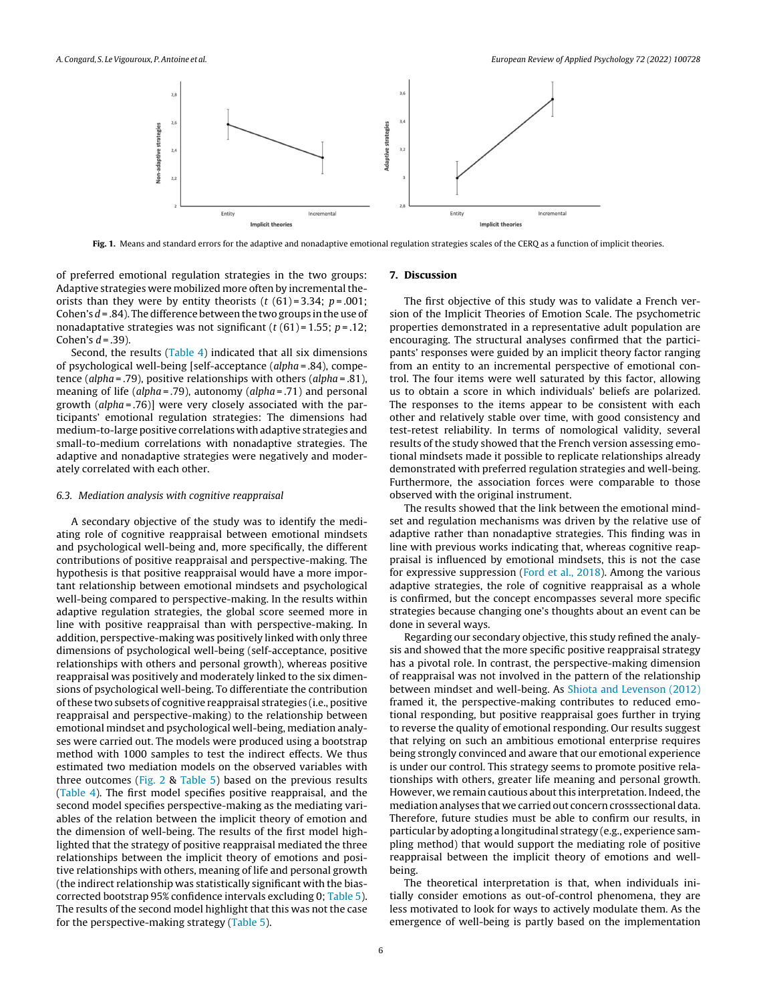<span id="page-5-0"></span>

**Fig. 1.** Means and standard errors for the adaptive and nonadaptive emotional regulation strategies scales of the CERQ as a function of implicit theories.

of preferred emotional regulation strategies in the two groups: Adaptive strategies were mobilized more often by incremental theorists than they were by entity theorists  $(t (61)=3.34; p=.001;$ Cohen's  $d = .84$ ). The difference between the two groups in the use of nonadaptative strategies was not significant  $(t(61) = 1.55; p = .12;$ Cohen's  $d = .39$ ).

Second, the results [\(Table](#page-4-0) 4) indicated that all six dimensions of psychological well-being [self-acceptance (alpha = .84), competence (alpha = .79), positive relationships with others (alpha = .81), meaning of life (alpha = .79), autonomy (alpha = .71) and personal growth (alpha = .76)] were very closely associated with the participants' emotional regulation strategies: The dimensions had medium-to-large positive correlations with adaptive strategies and small-to-medium correlations with nonadaptive strategies. The adaptive and nonadaptive strategies were negatively and moderately correlated with each other.

#### 6.3. Mediation analysis with cognitive reappraisal

A secondary objective of the study was to identify the mediating role of cognitive reappraisal between emotional mindsets and psychological well-being and, more specifically, the different contributions of positive reappraisal and perspective-making. The hypothesis is that positive reappraisal would have a more important relationship between emotional mindsets and psychological well-being compared to perspective-making. In the results within adaptive regulation strategies, the global score seemed more in line with positive reappraisal than with perspective-making. In addition, perspective-making was positively linked with only three dimensions of psychological well-being (self-acceptance, positive relationships with others and personal growth), whereas positive reappraisal was positively and moderately linked to the six dimensions of psychological well-being. To differentiate the contribution ofthese two subsets of cognitive reappraisal strategies (i.e., positive reappraisal and perspective-making) to the relationship between emotional mindset and psychological well-being, mediation analyses were carried out. The models were produced using a bootstrap method with 1000 samples to test the indirect effects. We thus estimated two mediation models on the observed variables with three outcomes [\(Fig.](#page-6-0) 2 & [Table](#page-6-0) 5) based on the previous results [\(Table](#page-4-0) 4). The first model specifies positive reappraisal, and the second model specifies perspective-making as the mediating variables of the relation between the implicit theory of emotion and the dimension of well-being. The results of the first model highlighted that the strategy of positive reappraisal mediated the three relationships between the implicit theory of emotions and positive relationships with others, meaning of life and personal growth (the indirect relationship was statistically significant with the biascorrected bootstrap 95% confidence intervals excluding 0; [Table](#page-6-0) 5). The results of the second model highlight that this was not the case for the perspective-making strategy ([Table](#page-6-0) 5).

#### **7. Discussion**

The first objective of this study was to validate a French version of the Implicit Theories of Emotion Scale. The psychometric properties demonstrated in a representative adult population are encouraging. The structural analyses confirmed that the participants' responses were guided by an implicit theory factor ranging from an entity to an incremental perspective of emotional control. The four items were well saturated by this factor, allowing us to obtain a score in which individuals' beliefs are polarized. The responses to the items appear to be consistent with each other and relatively stable over time, with good consistency and test-retest reliability. In terms of nomological validity, several results of the study showed that the French version assessing emotional mindsets made it possible to replicate relationships already demonstrated with preferred regulation strategies and well-being. Furthermore, the association forces were comparable to those observed with the original instrument.

The results showed that the link between the emotional mindset and regulation mechanisms was driven by the relative use of adaptive rather than nonadaptive strategies. This finding was in line with previous works indicating that, whereas cognitive reappraisal is influenced by emotional mindsets, this is not the case for expressive suppression ([Ford](#page-7-0) et [al.,](#page-7-0) [2018\).](#page-7-0) Among the various adaptive strategies, the role of cognitive reappraisal as a whole is confirmed, but the concept encompasses several more specific strategies because changing one's thoughts about an event can be done in several ways.

Regarding our secondary objective, this study refined the analysis and showed that the more specific positive reappraisal strategy has a pivotal role. In contrast, the perspective-making dimension of reappraisal was not involved in the pattern of the relationship between mindset and well-being. As [Shiota](#page-7-0) [and](#page-7-0) [Levenson](#page-7-0) [\(2012\)](#page-7-0) framed it, the perspective-making contributes to reduced emotional responding, but positive reappraisal goes further in trying to reverse the quality of emotional responding. Our results suggest that relying on such an ambitious emotional enterprise requires being strongly convinced and aware that our emotional experience is under our control. This strategy seems to promote positive relationships with others, greater life meaning and personal growth. However, we remain cautious about this interpretation. Indeed, the mediation analyses that we carried out concern crosssectional data. Therefore, future studies must be able to confirm our results, in particular by adopting a longitudinal strategy (e.g., experience sampling method) that would support the mediating role of positive reappraisal between the implicit theory of emotions and wellbeing.

The theoretical interpretation is that, when individuals initially consider emotions as out-of-control phenomena, they are less motivated to look for ways to actively modulate them. As the emergence of well-being is partly based on the implementation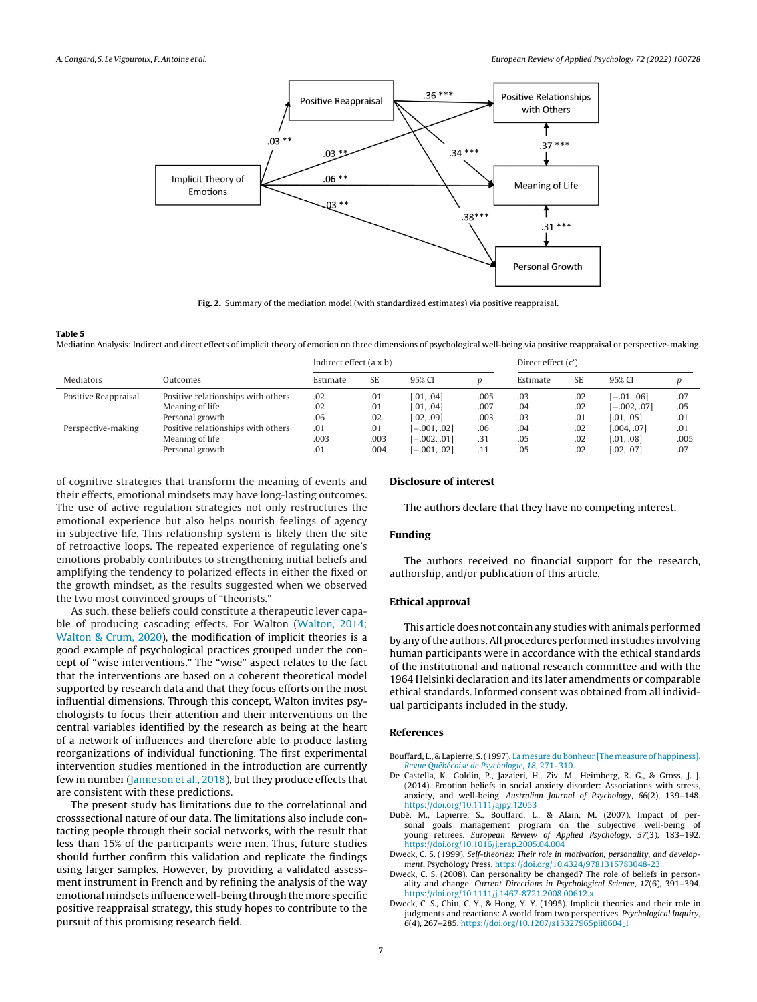<span id="page-6-0"></span>

**Fig. 2.** Summary of the mediation model (with standardized estimates) via positive reappraisal.

Mediation Analysis: Indirect and direct effects of implicit theory of emotion on three dimensions of psychological well-being via positive reappraisal or perspective-making.

|                       |                                    | Indirect effect (a x b) |      |                | Direct effect $(c')$ |          |           |                |      |  |
|-----------------------|------------------------------------|-------------------------|------|----------------|----------------------|----------|-----------|----------------|------|--|
| Mediators<br>Outcomes |                                    | Estimate                | SE.  | 95% CI         |                      | Estimate | <b>SE</b> | 95% CI         |      |  |
| Positive Reappraisal  | Positive relationships with others | .02                     | .01  | [.01, .04]     | .005                 | .03      | .02       | $[-.01, .06]$  | .07  |  |
|                       | Meaning of life                    | .02                     | .01  | [.01, .04]     | .007                 | .04      | .02       | $[-.002, .07]$ | .05  |  |
|                       | Personal growth                    | .06                     | .02  | [.02, .09]     | .003                 | .03      | .01       | [.01, .05]     | .01  |  |
| Perspective-making    | Positive relationships with others | .01                     | .01  | $[-.001, .02]$ | .06                  | .04      | .02       | [.004, .07]    | .01  |  |
|                       | Meaning of life                    | .003                    | .003 | $[-.002, .01]$ | .31                  | .05      | .02       | [.01, .08]     | .005 |  |
|                       | Personal growth                    | .01                     | .004 | $[-.001, .02]$ | .11                  | .05      | .02       | [.02, .07]     | .07  |  |

of cognitive strategies that transform the meaning of events and their effects, emotional mindsets may have long-lasting outcomes. The use of active regulation strategies not only restructures the emotional experience but also helps nourish feelings of agency in subjective life. This relationship system is likely then the site of retroactive loops. The repeated experience of regulating one's emotions probably contributes to strengthening initial beliefs and amplifying the tendency to polarized effects in either the fixed or the growth mindset, as the results suggested when we observed the two most convinced groups of "theorists."

As such, these beliefs could constitute a therapeutic lever capable of producing cascading effects. For Walton [\(Walton,](#page-7-0) [2014;](#page-7-0) [Walton](#page-7-0) [&](#page-7-0) [Crum,](#page-7-0) [2020\),](#page-7-0) the modification of implicit theories is a good example of psychological practices grouped under the concept of "wise interventions." The "wise" aspect relates to the fact that the interventions are based on a coherent theoretical model supported by research data and that they focus efforts on the most influential dimensions. Through this concept, Walton invites psychologists to focus their attention and their interventions on the central variables identified by the research as being at the heart of a network of influences and therefore able to produce lasting reorganizations of individual functioning. The first experimental intervention studies mentioned in the introduction are currently few in number ([Jamieson](#page-7-0) et [al.,](#page-7-0) [2018\),](#page-7-0) but they produce effects that are consistent with these predictions.

The present study has limitations due to the correlational and crosssectional nature of our data. The limitations also include contacting people through their social networks, with the result that less than 15% of the participants were men. Thus, future studies should further confirm this validation and replicate the findings using larger samples. However, by providing a validated assessment instrument in French and by refining the analysis of the way emotional mindsets influence well-being through the more specific positive reappraisal strategy, this study hopes to contribute to the pursuit of this promising research field.

## **Disclosure of interest**

The authors declare that they have no competing interest.

#### **Funding**

The authors received no financial support for the research, authorship, and/or publication of this article.

## **Ethical approval**

This article does not contain any studies with animals performed by any ofthe authors.All procedures performed in studies involving human participants were in accordance with the ethical standards of the institutional and national research committee and with the 1964 Helsinki declaration and its later amendments or comparable ethical standards. Informed consent was obtained from all individual participants included in the study.

## **References**

- Bouffard, L., & Lapierre, S.(1997). [La](http://refhub.elsevier.com/S1162-9088(21)00106-7/sbref0005) [mesure](http://refhub.elsevier.com/S1162-9088(21)00106-7/sbref0005) [du](http://refhub.elsevier.com/S1162-9088(21)00106-7/sbref0005) [bonheur](http://refhub.elsevier.com/S1162-9088(21)00106-7/sbref0005) [\[The](http://refhub.elsevier.com/S1162-9088(21)00106-7/sbref0005) [measure](http://refhub.elsevier.com/S1162-9088(21)00106-7/sbref0005) [of](http://refhub.elsevier.com/S1162-9088(21)00106-7/sbref0005) [happiness\].](http://refhub.elsevier.com/S1162-9088(21)00106-7/sbref0005) [Revue](http://refhub.elsevier.com/S1162-9088(21)00106-7/sbref0005) [Québécoise](http://refhub.elsevier.com/S1162-9088(21)00106-7/sbref0005) [de](http://refhub.elsevier.com/S1162-9088(21)00106-7/sbref0005) [Psychologie](http://refhub.elsevier.com/S1162-9088(21)00106-7/sbref0005)[,](http://refhub.elsevier.com/S1162-9088(21)00106-7/sbref0005) [18](http://refhub.elsevier.com/S1162-9088(21)00106-7/sbref0005)[,](http://refhub.elsevier.com/S1162-9088(21)00106-7/sbref0005) [271](http://refhub.elsevier.com/S1162-9088(21)00106-7/sbref0005)–[310.](http://refhub.elsevier.com/S1162-9088(21)00106-7/sbref0005)
- De Castella, K., Goldin, P., Jazaieri, H., Ziv, M., Heimberg, R. G., & Gross, J. J. (2014). Emotion beliefs in social anxiety disorder: Associations with stress, anxiety, and well-being. Australian Journal of Psychology, 66(2), 139–148. <https://doi.org/10.1111/ajpy.12053>
- Dubé, M., Lapierre, S., Bouffard, L., & Alain, M. (2007). Impact of personal goals management program on the subjective well-being of young retirees. European Review of Applied Psychology, 57(3), 183–192. <https://doi.org/10.1016/j.erap.2005.04.004>
- Dweck, C. S. (1999). Self-theories: Their role in motivation, personality, and development. Psychology Press. <https://doi.org/10.4324/9781315783048-23>
- Dweck, C. S. (2008). Can personality be changed? The role of beliefs in personality and change. Current Directions in Psychological Science, 17(6), 391–394. <https://doi.org/10.1111/j.1467-8721.2008.00612.x>
- Dweck, C. S., Chiu, C. Y., & Hong, Y. Y. (1995). Implicit theories and their role in judgments and reactions: A world from two perspectives. Psychological Inquiry, 6(4), 267–285. [https://doi.org/10.1207/s15327965pli0604](https://doi.org/10.1207/s15327965pli0604_1) 1